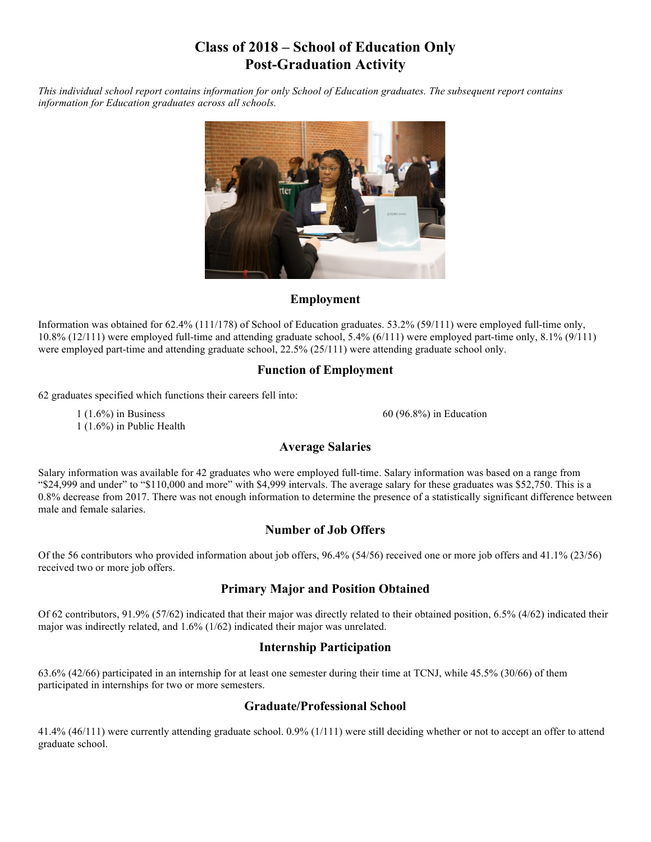# **Class of 2018 – School of Education Only Post-Graduation Activity**

*This individual school report contains information for only School of Education graduates. The subsequent report contains information for Education graduates across all schools.* 



# **Employment**

Information was obtained for 62.4% (111/178) of School of Education graduates. 53.2% (59/111) were employed full-time only, 10.8% (12/111) were employed full-time and attending graduate school, 5.4% (6/111) were employed part-time only, 8.1% (9/111) were employed part-time and attending graduate school, 22.5% (25/111) were attending graduate school only.

# **Function of Employment**

<sup>62</sup> graduates specified which functions their careers fell into:

 $1(1.6\%)$  in Business 1 (1.6%) in Public Health 60 (96.8%) in Education

# **Average Salaries**

Salary information was available for 42 graduates who were employed full-time. Salary information was based on a range from "\$24,999 and under" to "\$110,000 and more" with \$4,999 intervals. The average salary for these graduates was \$52,750. This is a 0.8% decrease from 2017. There was not enough information to determine the presence of a statistically significant difference between male and female salaries.

# **Number of Job Offers**

Of the 56 contributors who provided information about job offers, 96.4% (54/56) received one or more job offers and 41.1% (23/56) received two or more job offers.

# **Primary Major and Position Obtained**

Of 62 contributors, 91.9% (57/62) indicated that their major was directly related to their obtained position, 6.5% (4/62) indicated their major was indirectly related, and 1.6% (1/62) indicated their major was unrelated.

# **Internship Participation**

63.6% (42/66) participated in an internship for at least one semester during their time at TCNJ, while 45.5% (30/66) of them participated in internships for two or more semesters.

#### **Graduate/Professional School**

41.4% (46/111) were currently attending graduate school. 0.9% (1/111) were still deciding whether or not to accept an offer to attend graduate school.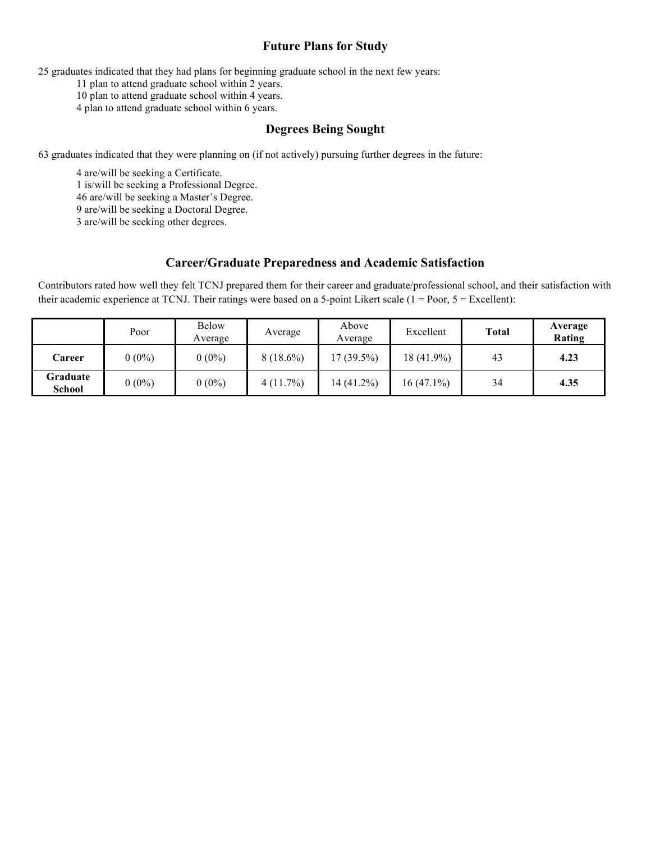### **Future Plans for Study**

25 graduates indicated that they had plans for beginning graduate school in the next few years:

11 plan to attend graduate school within 2 years.

10 plan to attend graduate school within 4 years.

4 plan to attend graduate school within 6 years.

#### **Degrees Being Sought**

63 graduates indicated that they were planning on (if not actively) pursuing further degrees in the future:

4 are/will be seeking a Certificate.

1 is/will be seeking a Professional Degree.

46 are/will be seeking a Master's Degree.

9 are/will be seeking a Doctoral Degree.

3 are/will be seeking other degrees.

#### **Career/Graduate Preparedness and Academic Satisfaction**

Contributors rated how well they felt TCNJ prepared them for their career and graduate/professional school, and their satisfaction with their academic experience at TCNJ. Their ratings were based on a 5-point Likert scale ( $1 = Poor, 5 = Excellent$ ):

|                           | Poor     | <b>Below</b><br>Average | Average     | Above<br>Average | Excellent    | <b>Total</b> | Average<br>Rating |
|---------------------------|----------|-------------------------|-------------|------------------|--------------|--------------|-------------------|
| Career                    | $0(0\%)$ | $0(0\%)$                | $8(18.6\%)$ | 17 (39.5%)       | 18 (41.9%)   | 43           | 4.23              |
| Graduate<br><b>School</b> | $0(0\%)$ | $0(0\%)$                | 4(11.7%)    | 14 (41.2%)       | $16(47.1\%)$ | 34           | 4.35              |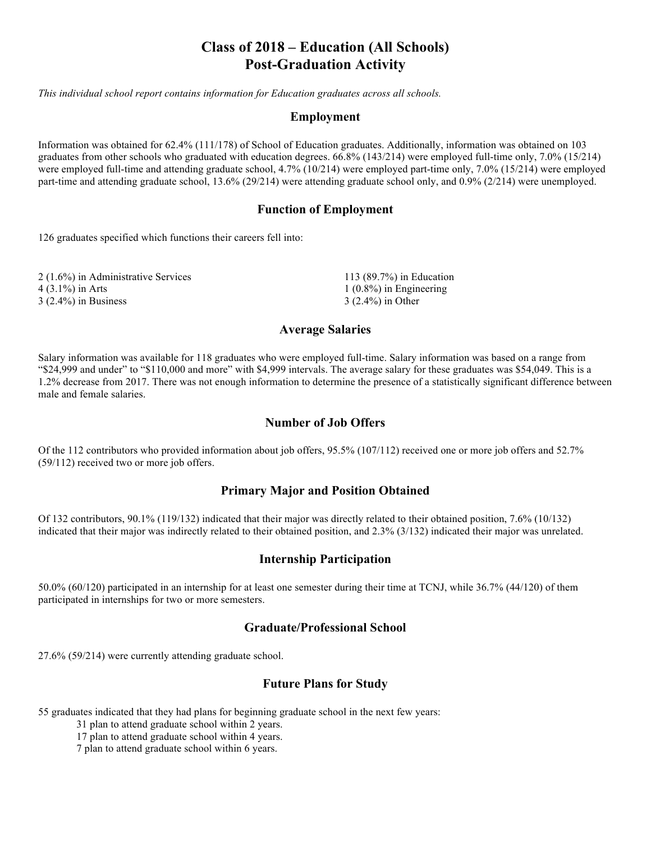# **Class of 2018 – Education (All Schools) Post-Graduation Activity**

*This individual school report contains information for Education graduates across all schools.* 

#### **Employment**

Information was obtained for 62.4% (111/178) of School of Education graduates. Additionally, information was obtained on 103 graduates from other schools who graduated with education degrees. 66.8% (143/214) were employed full-time only, 7.0% (15/214) were employed full-time and attending graduate school, 4.7% (10/214) were employed part-time only, 7.0% (15/214) were employed part-time and attending graduate school, 13.6% (29/214) were attending graduate school only, and 0.9% (2/214) were unemployed.

#### **Function of Employment**

126 graduates specified which functions their careers fell into:

| 2 (1.6%) in Administrative Services | 113 $(89.7%)$ in Education |
|-------------------------------------|----------------------------|
| 4 (3.1%) in Arts                    | $1(0.8\%)$ in Engineering  |
| $3(2.4\%)$ in Business              | $3(2.4\%)$ in Other        |

#### **Average Salaries**

Salary information was available for 118 graduates who were employed full-time. Salary information was based on a range from "\$24,999 and under" to "\$110,000 and more" with \$4,999 intervals. The average salary for these graduates was \$54,049. This is a 1.2% decrease from 2017. There was not enough information to determine the presence of a statistically significant difference between male and female salaries.

#### **Number of Job Offers**

Of the 112 contributors who provided information about job offers, 95.5% (107/112) received one or more job offers and 52.7% (59/112) received two or more job offers.

#### **Primary Major and Position Obtained**

Of 132 contributors, 90.1% (119/132) indicated that their major was directly related to their obtained position, 7.6% (10/132) indicated that their major was indirectly related to their obtained position, and 2.3% (3/132) indicated their major was unrelated.

#### **Internship Participation**

50.0% (60/120) participated in an internship for at least one semester during their time at TCNJ, while 36.7% (44/120) of them participated in internships for two or more semesters.

#### **Graduate/Professional School**

27.6% (59/214) were currently attending graduate school.

#### **Future Plans for Study**

55 graduates indicated that they had plans for beginning graduate school in the next few years:

31 plan to attend graduate school within 2 years.

17 plan to attend graduate school within 4 years.

7 plan to attend graduate school within 6 years.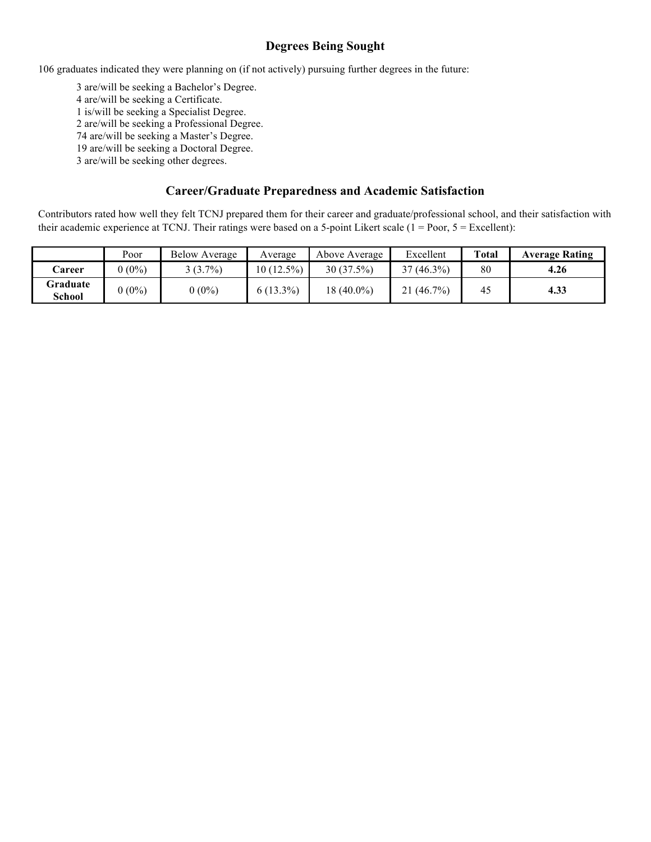# **Degrees Being Sought**

106 graduates indicated they were planning on (if not actively) pursuing further degrees in the future:

3 are/will be seeking a Bachelor's Degree. are/will be seeking a Certificate. is/will be seeking a Specialist Degree. 2 are/will be seeking a Professional Degree. are/will be seeking a Master's Degree. are/will be seeking a Doctoral Degree.

3 are/will be seeking other degrees.

#### **Career/Graduate Preparedness and Academic Satisfaction**

Contributors rated how well they felt TCNJ prepared them for their career and graduate/professional school, and their satisfaction with their academic experience at TCNJ. Their ratings were based on a 5-point Likert scale (1 = Poor, 5 = Excellent):

|                    | Poor    | <b>Below Average</b> | Average      | Above Average | Excellent    | Total | <b>Average Rating</b> |
|--------------------|---------|----------------------|--------------|---------------|--------------|-------|-----------------------|
| Career             | $(0\%)$ | $(3.7\%)$            | $10(12.5\%)$ | 30(37.5%)     | $37(46.3\%)$ | 80    | 4.26                  |
| Graduate<br>School | $(0\%)$ | $0(0\%)$             | $6(13.3\%)$  | 18 (40.0%)    | 21(46.7%)    | 45    | 4.33                  |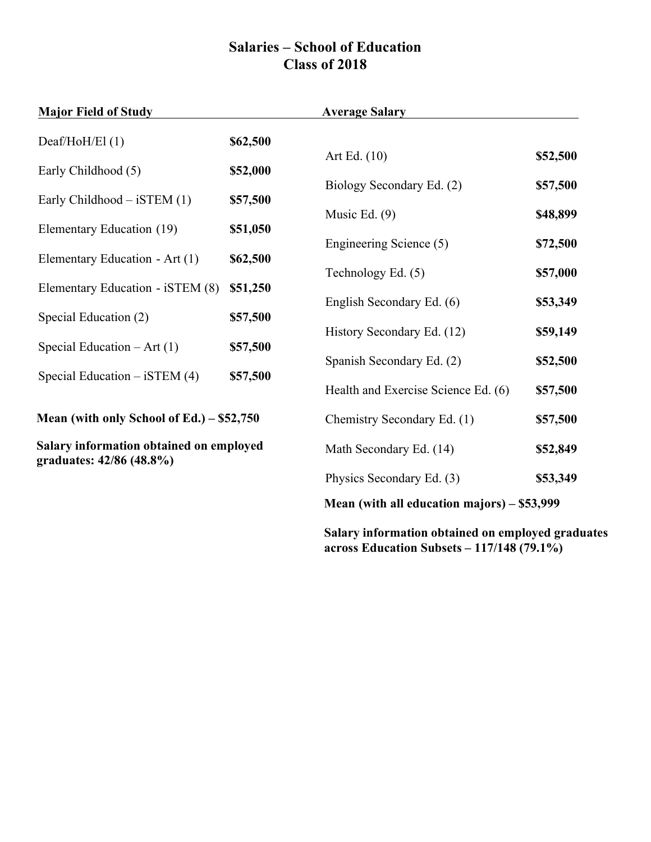# **Salaries – School of Education Class of 2018**

| <b>Major Field of Study</b>                                         |          | <b>Average Salary</b>                       |          |
|---------------------------------------------------------------------|----------|---------------------------------------------|----------|
| Deaf/HoH/El $(1)$                                                   | \$62,500 | Art Ed. $(10)$                              | \$52,500 |
| Early Childhood (5)                                                 | \$52,000 |                                             |          |
| Early Childhood $-$ iSTEM (1)                                       | \$57,500 | Biology Secondary Ed. (2)                   | \$57,500 |
| Elementary Education (19)                                           | \$51,050 | Music Ed. $(9)$                             | \$48,899 |
| Elementary Education - Art (1)                                      | \$62,500 | Engineering Science (5)                     | \$72,500 |
|                                                                     |          | Technology Ed. (5)                          | \$57,000 |
| Elementary Education - iSTEM (8)                                    | \$51,250 | English Secondary Ed. (6)                   | \$53,349 |
| Special Education (2)                                               | \$57,500 |                                             |          |
| Special Education $- Art(1)$                                        | \$57,500 | History Secondary Ed. (12)                  | \$59,149 |
| Special Education $-$ iSTEM (4)                                     | \$57,500 | Spanish Secondary Ed. (2)                   | \$52,500 |
|                                                                     |          | Health and Exercise Science Ed. (6)         | \$57,500 |
| Mean (with only School of Ed.) $-$ \$52,750                         |          | Chemistry Secondary Ed. (1)                 | \$57,500 |
| Salary information obtained on employed<br>graduates: 42/86 (48.8%) |          | Math Secondary Ed. (14)                     | \$52,849 |
|                                                                     |          | Physics Secondary Ed. (3)                   | \$53,349 |
|                                                                     |          | Mean (with all education majors) – \$53,999 |          |

**Salary information obtained on employed graduates across Education Subsets – 117/148 (79.1%)**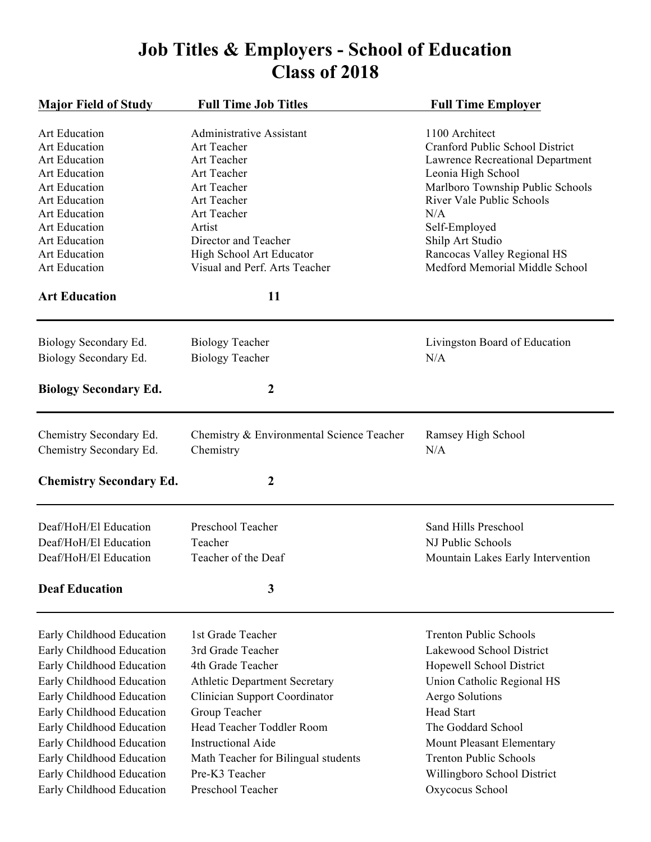# **Job Titles & Employers - School of Education Class of 2018**

| <b>Major Field of Study</b>                                                                                                                                                                                                                                                                                                 | <b>Full Time Job Titles</b>                                                                                                                                                                                                                                                                   | <b>Full Time Employer</b>                                                                                                                                                                                                                                                                         |
|-----------------------------------------------------------------------------------------------------------------------------------------------------------------------------------------------------------------------------------------------------------------------------------------------------------------------------|-----------------------------------------------------------------------------------------------------------------------------------------------------------------------------------------------------------------------------------------------------------------------------------------------|---------------------------------------------------------------------------------------------------------------------------------------------------------------------------------------------------------------------------------------------------------------------------------------------------|
| Art Education<br>Art Education<br>Art Education<br><b>Art Education</b><br><b>Art Education</b><br>Art Education<br>Art Education<br><b>Art Education</b><br>Art Education<br>Art Education<br>Art Education                                                                                                                | <b>Administrative Assistant</b><br>Art Teacher<br>Art Teacher<br>Art Teacher<br>Art Teacher<br>Art Teacher<br>Art Teacher<br>Artist<br>Director and Teacher<br>High School Art Educator<br>Visual and Perf. Arts Teacher                                                                      | 1100 Architect<br>Cranford Public School District<br><b>Lawrence Recreational Department</b><br>Leonia High School<br>Marlboro Township Public Schools<br>River Vale Public Schools<br>N/A<br>Self-Employed<br>Shilp Art Studio<br>Rancocas Valley Regional HS<br>Medford Memorial Middle School  |
| <b>Art Education</b>                                                                                                                                                                                                                                                                                                        | 11                                                                                                                                                                                                                                                                                            |                                                                                                                                                                                                                                                                                                   |
| Biology Secondary Ed.<br>Biology Secondary Ed.                                                                                                                                                                                                                                                                              | <b>Biology Teacher</b><br><b>Biology Teacher</b>                                                                                                                                                                                                                                              | Livingston Board of Education<br>N/A                                                                                                                                                                                                                                                              |
| <b>Biology Secondary Ed.</b>                                                                                                                                                                                                                                                                                                | $\boldsymbol{2}$                                                                                                                                                                                                                                                                              |                                                                                                                                                                                                                                                                                                   |
| Chemistry Secondary Ed.<br>Chemistry Secondary Ed.                                                                                                                                                                                                                                                                          | Chemistry & Environmental Science Teacher<br>Chemistry                                                                                                                                                                                                                                        | Ramsey High School<br>N/A                                                                                                                                                                                                                                                                         |
| <b>Chemistry Secondary Ed.</b>                                                                                                                                                                                                                                                                                              | $\boldsymbol{2}$                                                                                                                                                                                                                                                                              |                                                                                                                                                                                                                                                                                                   |
| Deaf/HoH/El Education<br>Deaf/HoH/El Education<br>Deaf/HoH/El Education<br><b>Deaf Education</b>                                                                                                                                                                                                                            | Preschool Teacher<br>Teacher<br>Teacher of the Deaf<br>3                                                                                                                                                                                                                                      | Sand Hills Preschool<br>NJ Public Schools<br>Mountain Lakes Early Intervention                                                                                                                                                                                                                    |
| Early Childhood Education<br>Early Childhood Education<br>Early Childhood Education<br>Early Childhood Education<br>Early Childhood Education<br>Early Childhood Education<br>Early Childhood Education<br>Early Childhood Education<br>Early Childhood Education<br>Early Childhood Education<br>Early Childhood Education | 1st Grade Teacher<br>3rd Grade Teacher<br>4th Grade Teacher<br><b>Athletic Department Secretary</b><br>Clinician Support Coordinator<br>Group Teacher<br>Head Teacher Toddler Room<br><b>Instructional Aide</b><br>Math Teacher for Bilingual students<br>Pre-K3 Teacher<br>Preschool Teacher | <b>Trenton Public Schools</b><br>Lakewood School District<br>Hopewell School District<br>Union Catholic Regional HS<br>Aergo Solutions<br><b>Head Start</b><br>The Goddard School<br>Mount Pleasant Elementary<br><b>Trenton Public Schools</b><br>Willingboro School District<br>Oxycocus School |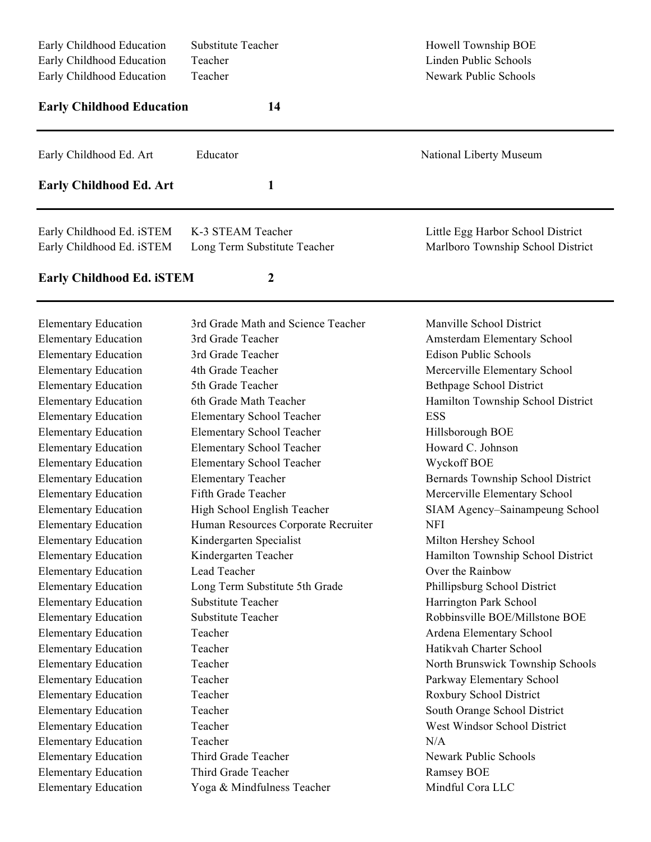| Early Childhood Education<br>Early Childhood Education | Substitute Teacher<br>Teacher       | Howell Township BOE<br>Linden Public Schools |
|--------------------------------------------------------|-------------------------------------|----------------------------------------------|
| Early Childhood Education                              | Teacher                             | Newark Public Schools                        |
| <b>Early Childhood Education</b>                       | 14                                  |                                              |
| Early Childhood Ed. Art                                | Educator                            | National Liberty Museum                      |
| <b>Early Childhood Ed. Art</b>                         | 1                                   |                                              |
| Early Childhood Ed. iSTEM                              | K-3 STEAM Teacher                   | Little Egg Harbor School District            |
| Early Childhood Ed. iSTEM                              | Long Term Substitute Teacher        | Marlboro Township School District            |
| <b>Early Childhood Ed. iSTEM</b>                       | 2                                   |                                              |
| <b>Elementary Education</b>                            | 3rd Grade Math and Science Teacher  | Manville School District                     |
| <b>Elementary Education</b>                            | 3rd Grade Teacher                   | Amsterdam Elementary School                  |
| <b>Elementary Education</b>                            | 3rd Grade Teacher                   | <b>Edison Public Schools</b>                 |
| <b>Elementary Education</b>                            | 4th Grade Teacher                   | Mercerville Elementary School                |
| <b>Elementary Education</b>                            | 5th Grade Teacher                   | <b>Bethpage School District</b>              |
| <b>Elementary Education</b>                            | 6th Grade Math Teacher              | Hamilton Township School District            |
| <b>Elementary Education</b>                            | <b>Elementary School Teacher</b>    | <b>ESS</b>                                   |
| <b>Elementary Education</b>                            | <b>Elementary School Teacher</b>    | Hillsborough BOE                             |
| <b>Elementary Education</b>                            | Elementary School Teacher           | Howard C. Johnson                            |
| <b>Elementary Education</b>                            | <b>Elementary School Teacher</b>    | Wyckoff BOE                                  |
| <b>Elementary Education</b>                            | <b>Elementary Teacher</b>           | Bernards Township School District            |
| <b>Elementary Education</b>                            | Fifth Grade Teacher                 | Mercerville Elementary School                |
| <b>Elementary Education</b>                            | High School English Teacher         | SIAM Agency-Sainampeung School               |
| <b>Elementary Education</b>                            | Human Resources Corporate Recruiter | <b>NFI</b>                                   |
| <b>Elementary Education</b>                            | Kindergarten Specialist             | Milton Hershey School                        |
| <b>Elementary Education</b>                            | Kindergarten Teacher                | Hamilton Township School District            |
| <b>Elementary Education</b>                            | Lead Teacher                        | Over the Rainbow                             |
| <b>Elementary Education</b>                            | Long Term Substitute 5th Grade      | Phillipsburg School District                 |
| <b>Elementary Education</b>                            | Substitute Teacher                  | Harrington Park School                       |
| <b>Elementary Education</b>                            | Substitute Teacher                  | Robbinsville BOE/Millstone BOE               |
| <b>Elementary Education</b>                            | Teacher                             | Ardena Elementary School                     |
| <b>Elementary Education</b>                            | Teacher                             | Hatikvah Charter School                      |
| <b>Elementary Education</b>                            | Teacher                             | North Brunswick Township Schools             |
| <b>Elementary Education</b>                            | Teacher                             | Parkway Elementary School                    |
| <b>Elementary Education</b>                            | Teacher                             | Roxbury School District                      |
| <b>Elementary Education</b>                            | Teacher                             | South Orange School District                 |
| <b>Elementary Education</b>                            | Teacher                             | West Windsor School District                 |
| <b>Elementary Education</b>                            | Teacher                             | N/A                                          |
| <b>Elementary Education</b>                            | Third Grade Teacher                 | <b>Newark Public Schools</b>                 |
| <b>Elementary Education</b>                            |                                     |                                              |
|                                                        | Third Grade Teacher                 | Ramsey BOE                                   |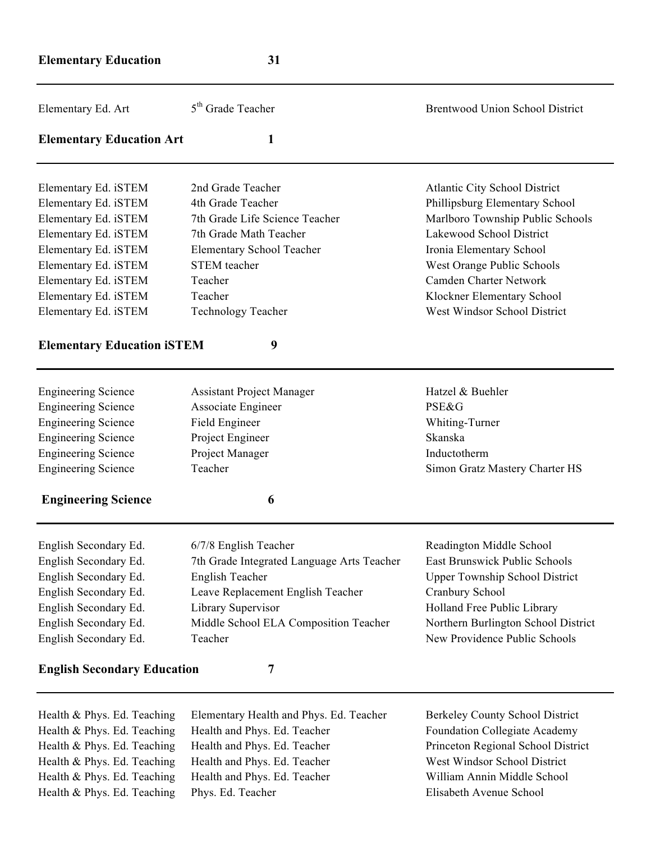| Elementary Ed. Art                 | 5 <sup>th</sup> Grade Teacher              | <b>Brentwood Union School District</b> |
|------------------------------------|--------------------------------------------|----------------------------------------|
| <b>Elementary Education Art</b>    | 1                                          |                                        |
| Elementary Ed. iSTEM               | 2nd Grade Teacher                          | <b>Atlantic City School District</b>   |
| Elementary Ed. iSTEM               | 4th Grade Teacher                          | Phillipsburg Elementary School         |
| Elementary Ed. iSTEM               | 7th Grade Life Science Teacher             | Marlboro Township Public Schools       |
| Elementary Ed. iSTEM               | 7th Grade Math Teacher                     | Lakewood School District               |
| Elementary Ed. iSTEM               | Elementary School Teacher                  | Ironia Elementary School               |
| Elementary Ed. iSTEM               | <b>STEM</b> teacher                        | West Orange Public Schools             |
| Elementary Ed. iSTEM               | Teacher                                    | <b>Camden Charter Network</b>          |
| Elementary Ed. iSTEM               | Teacher                                    | Klockner Elementary School             |
| Elementary Ed. iSTEM               | <b>Technology Teacher</b>                  | West Windsor School District           |
| <b>Elementary Education iSTEM</b>  | 9                                          |                                        |
| <b>Engineering Science</b>         | <b>Assistant Project Manager</b>           | Hatzel & Buehler                       |
| <b>Engineering Science</b>         | Associate Engineer                         | <b>PSE&amp;G</b>                       |
| <b>Engineering Science</b>         | Field Engineer                             | Whiting-Turner                         |
| <b>Engineering Science</b>         | Project Engineer                           | Skanska                                |
| <b>Engineering Science</b>         | Project Manager                            | Inductotherm                           |
| <b>Engineering Science</b>         | Teacher                                    | Simon Gratz Mastery Charter HS         |
| <b>Engineering Science</b>         | 6                                          |                                        |
| English Secondary Ed.              | 6/7/8 English Teacher                      | Readington Middle School               |
| English Secondary Ed.              | 7th Grade Integrated Language Arts Teacher | <b>East Brunswick Public Schools</b>   |
| English Secondary Ed.              | English Teacher                            | <b>Upper Township School District</b>  |
| English Secondary Ed.              | Leave Replacement English Teacher          | Cranbury School                        |
| English Secondary Ed.              | Library Supervisor                         | Holland Free Public Library            |
| English Secondary Ed.              | Middle School ELA Composition Teacher      | Northern Burlington School District    |
| English Secondary Ed.              | Teacher                                    | New Providence Public Schools          |
| <b>English Secondary Education</b> | 7                                          |                                        |
| Health & Phys. Ed. Teaching        | Elementary Health and Phys. Ed. Teacher    | Berkeley County School District        |

Health & Phys. Ed. Teaching Health and Phys. Ed. Teacher Foundation Collegiate Academy<br>Health & Phys. Ed. Teaching Health and Phys. Ed. Teacher Princeton Regional School Distri Health & Phys. Ed. Teaching Health and Phys. Ed. Teacher West Windsor School District Health & Phys. Ed. Teaching Health and Phys. Ed. Teacher William Annin Middle School Health & Phys. Ed. Teaching Phys. Ed. Teacher Elisabeth Avenue School

Princeton Regional School District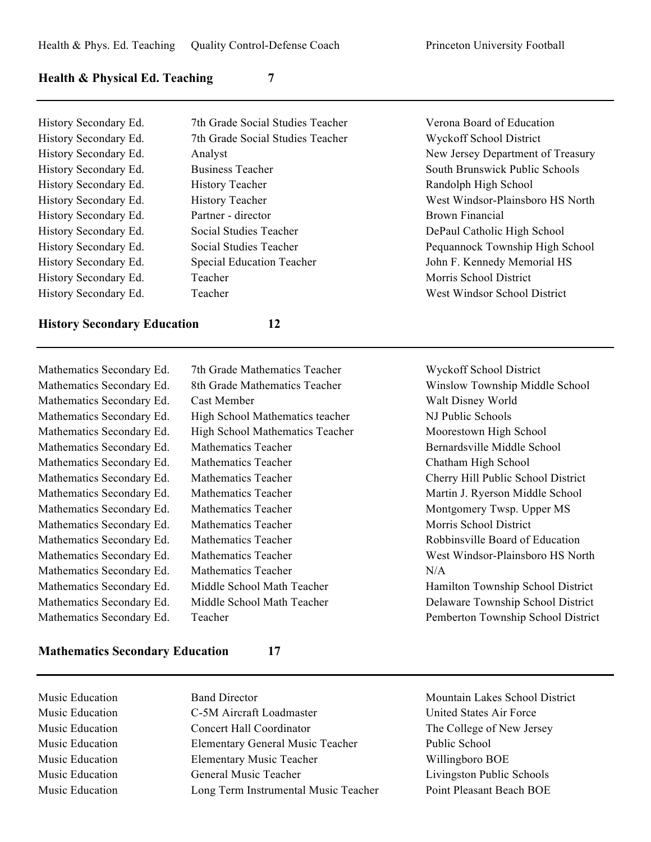#### **Health & Physical Ed. Teaching 7**

| History Secondary Ed. |
|-----------------------|
| History Secondary Ed. |
| History Secondary Ed. |
| History Secondary Ed. |
| History Secondary Ed. |
| History Secondary Ed. |
| History Secondary Ed. |
| History Secondary Ed. |
| History Secondary Ed. |
| History Secondary Ed. |
| History Secondary Ed. |
| History Secondary Ed. |

7th Grade Social Studies Teacher Verona Board of Education 7th Grade Social Studies Teacher Wyckoff School District History Teacher **Randolph High School** Partner - director Brown Financial Social Studies Teacher DePaul Catholic High School Special Education Teacher **Iohn F. Kennedy Memorial HS Teacher** Morris School District History Secondary Ed. Teacher West Windsor School District

# Analyst New Jersey Department of Treasury Business Teacher South Brunswick Public Schools History Teacher News Allen West Windsor-Plainsboro HS North Social Studies Teacher **Ed. Social Studies Teacher Pequannock Township High School**

#### **History Secondary Education 12**

| Mathematics Secondary Ed. |   |
|---------------------------|---|
| Mathematics Secondary Ed. | Ş |
| Mathematics Secondary Ed. |   |
| Mathematics Secondary Ed. | I |
| Mathematics Secondary Ed. | I |
| Mathematics Secondary Ed. | I |
| Mathematics Secondary Ed. | I |
| Mathematics Secondary Ed. | I |
| Mathematics Secondary Ed. | I |
| Mathematics Secondary Ed. | I |
| Mathematics Secondary Ed. | I |
| Mathematics Secondary Ed. | I |
| Mathematics Secondary Ed. | I |
| Mathematics Secondary Ed. | I |
| Mathematics Secondary Ed. | I |
| Mathematics Secondary Ed. | I |
| Mathematics Secondary Ed. |   |
|                           |   |

High School Mathematics teacher NJ Public Schools Mathematics Teacher  $N/A$ Teacher **Thematics Secondary Ed. Teacher Pemberton Township School District** 

7th Grade Mathematics Teacher Wyckoff School District 8th Grade Mathematics Teacher Winslow Township Middle School Cast Member Walt Disney World High School Mathematics Teacher Moorestown High School Mathematics Teacher **Edition** Bernardsville Middle School Mathematics Teacher Chatham High School Mathematics Teacher Cherry Hill Public School District Mathematics Teacher Martin J. Ryerson Middle School Mathematics Teacher Montgomery Twsp. Upper MS Mathematics Teacher Morris School District Mathematics Teacher **Education** Education **Education** Robbinsville Board of Education Mathematics Teacher **Edition** Education Condational Mest Windsor-Plainsboro HS North Middle School Math Teacher **Ed. Middle School District** Hamilton Township School District Middle School Math Teacher Delaware Township School District

#### **Mathematics Secondary Education 17**

Music Education Band Director Mountain Lakes School District Music Education C-5M Aircraft Loadmaster United States Air Force Music Education Concert Hall Coordinator The College of New Jersey Music Education **Elementary General Music Teacher** Public School Music Education Elementary Music Teacher Willingboro BOE Music Education General Music Teacher Livingston Public Schools Music Education Long Term Instrumental Music Teacher Point Pleasant Beach BOE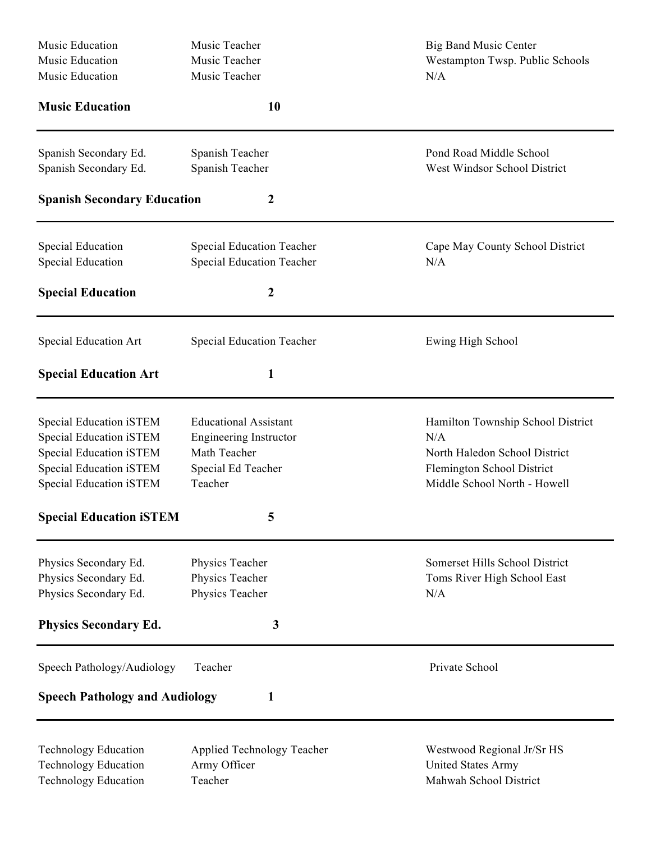| Music Education                       | Music Teacher                    | <b>Big Band Music Center</b>      |
|---------------------------------------|----------------------------------|-----------------------------------|
| Music Education                       | Music Teacher                    | Westampton Twsp. Public Schools   |
| Music Education                       | Music Teacher                    | N/A                               |
| <b>Music Education</b>                | 10                               |                                   |
| Spanish Secondary Ed.                 | Spanish Teacher                  | Pond Road Middle School           |
| Spanish Secondary Ed.                 | Spanish Teacher                  | West Windsor School District      |
| <b>Spanish Secondary Education</b>    | 2                                |                                   |
| <b>Special Education</b>              | <b>Special Education Teacher</b> | Cape May County School District   |
| Special Education                     | <b>Special Education Teacher</b> | N/A                               |
| <b>Special Education</b>              | $\boldsymbol{2}$                 |                                   |
| Special Education Art                 | <b>Special Education Teacher</b> | Ewing High School                 |
| <b>Special Education Art</b>          | 1                                |                                   |
| Special Education iSTEM               | <b>Educational Assistant</b>     | Hamilton Township School District |
| Special Education iSTEM               | <b>Engineering Instructor</b>    | N/A                               |
| Special Education iSTEM               | Math Teacher                     | North Haledon School District     |
| Special Education iSTEM               | Special Ed Teacher               | Flemington School District        |
| Special Education iSTEM               | Teacher                          | Middle School North - Howell      |
| <b>Special Education iSTEM</b>        | 5                                |                                   |
| Physics Secondary Ed.                 | Physics Teacher                  | Somerset Hills School District    |
| Physics Secondary Ed.                 | Physics Teacher                  | Toms River High School East       |
| Physics Secondary Ed.                 | Physics Teacher                  | N/A                               |
| <b>Physics Secondary Ed.</b>          | 3                                |                                   |
| Speech Pathology/Audiology            | Teacher                          | Private School                    |
| <b>Speech Pathology and Audiology</b> | 1                                |                                   |
| <b>Technology Education</b>           | Applied Technology Teacher       | Westwood Regional Jr/Sr HS        |
| <b>Technology Education</b>           | Army Officer                     | <b>United States Army</b>         |
| <b>Technology Education</b>           | Teacher                          | Mahwah School District            |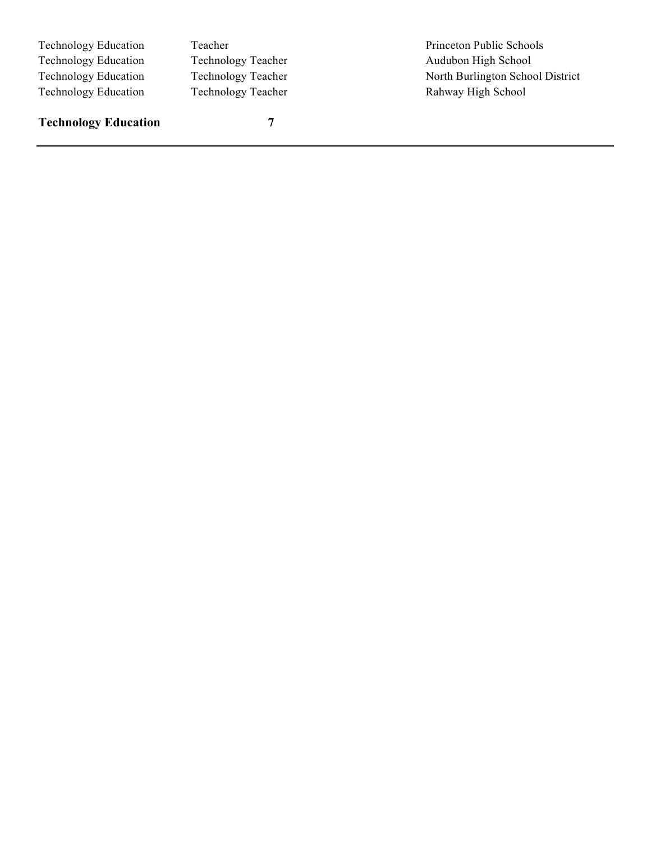Technology Education Teacher Teacher Princeton Public Schools Technology Education Technology Teacher Audubon High School Technology Education Technology Teacher North Burlington School District Technology Education Technology Teacher Rahway High School

**Technology Education 7**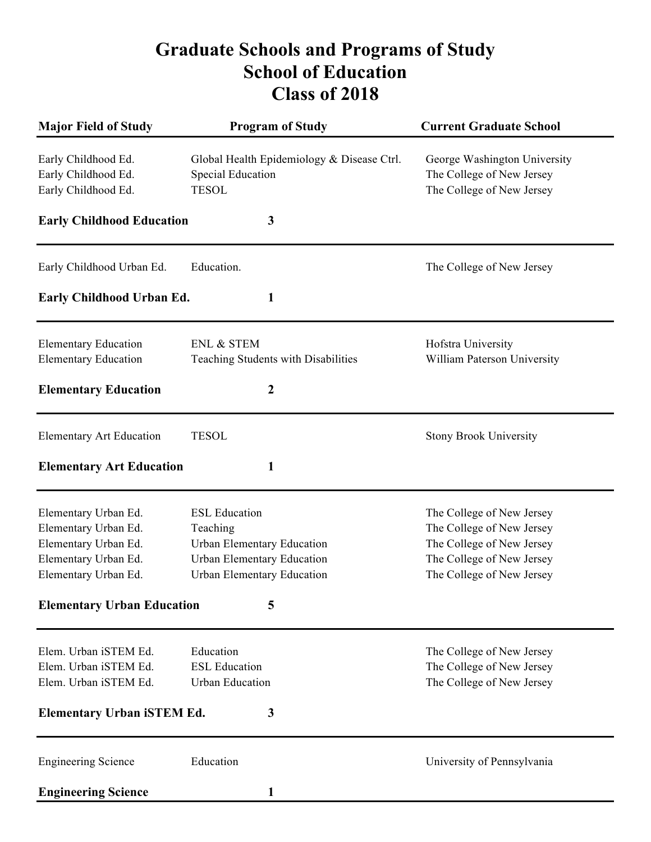# **Graduate Schools and Programs of Study School of Education Class of 2018**

| <b>Major Field of Study</b>                                                                                          | <b>Program of Study</b>                                                                                                                  | <b>Current Graduate School</b>                                                                                                                |
|----------------------------------------------------------------------------------------------------------------------|------------------------------------------------------------------------------------------------------------------------------------------|-----------------------------------------------------------------------------------------------------------------------------------------------|
| Early Childhood Ed.<br>Early Childhood Ed.<br>Early Childhood Ed.                                                    | Global Health Epidemiology & Disease Ctrl.<br><b>Special Education</b><br><b>TESOL</b>                                                   | George Washington University<br>The College of New Jersey<br>The College of New Jersey                                                        |
| <b>Early Childhood Education</b>                                                                                     | $\mathbf{3}$                                                                                                                             |                                                                                                                                               |
| Early Childhood Urban Ed.                                                                                            | Education.                                                                                                                               | The College of New Jersey                                                                                                                     |
| Early Childhood Urban Ed.                                                                                            | 1                                                                                                                                        |                                                                                                                                               |
| <b>Elementary Education</b><br><b>Elementary Education</b>                                                           | <b>ENL &amp; STEM</b><br>Teaching Students with Disabilities                                                                             | Hofstra University<br>William Paterson University                                                                                             |
| <b>Elementary Education</b>                                                                                          | $\boldsymbol{2}$                                                                                                                         |                                                                                                                                               |
| <b>Elementary Art Education</b>                                                                                      | <b>TESOL</b>                                                                                                                             | <b>Stony Brook University</b>                                                                                                                 |
| <b>Elementary Art Education</b>                                                                                      | 1                                                                                                                                        |                                                                                                                                               |
| Elementary Urban Ed.<br>Elementary Urban Ed.<br>Elementary Urban Ed.<br>Elementary Urban Ed.<br>Elementary Urban Ed. | <b>ESL Education</b><br>Teaching<br>Urban Elementary Education<br><b>Urban Elementary Education</b><br><b>Urban Elementary Education</b> | The College of New Jersey<br>The College of New Jersey<br>The College of New Jersey<br>The College of New Jersey<br>The College of New Jersey |
| <b>Elementary Urban Education</b>                                                                                    | 5                                                                                                                                        |                                                                                                                                               |
| Elem. Urban iSTEM Ed.<br>Elem. Urban iSTEM Ed.<br>Elem. Urban iSTEM Ed.<br><b>Elementary Urban iSTEM Ed.</b>         | Education<br><b>ESL Education</b><br><b>Urban Education</b><br>3                                                                         | The College of New Jersey<br>The College of New Jersey<br>The College of New Jersey                                                           |
| <b>Engineering Science</b>                                                                                           | Education                                                                                                                                |                                                                                                                                               |
| <b>Engineering Science</b>                                                                                           | 1                                                                                                                                        | University of Pennsylvania                                                                                                                    |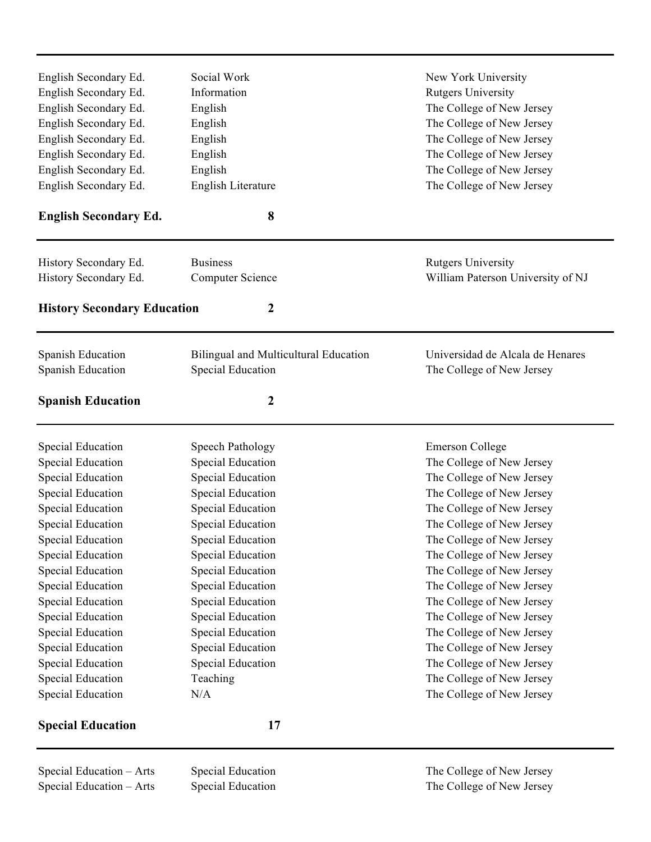| English Secondary Ed.              | Social Work                           | New York University                                                                 |  |
|------------------------------------|---------------------------------------|-------------------------------------------------------------------------------------|--|
| English Secondary Ed.              | Information                           | <b>Rutgers University</b>                                                           |  |
| English Secondary Ed.              | English                               | The College of New Jersey                                                           |  |
| English Secondary Ed.              | English                               | The College of New Jersey<br>The College of New Jersey<br>The College of New Jersey |  |
| English Secondary Ed.              | English                               |                                                                                     |  |
| English Secondary Ed.              | English                               |                                                                                     |  |
| English Secondary Ed.              | English                               | The College of New Jersey                                                           |  |
| English Secondary Ed.              | English Literature                    | The College of New Jersey                                                           |  |
| <b>English Secondary Ed.</b>       | 8                                     |                                                                                     |  |
| History Secondary Ed.              | <b>Business</b>                       | <b>Rutgers University</b>                                                           |  |
| History Secondary Ed.              | <b>Computer Science</b>               | William Paterson University of NJ                                                   |  |
|                                    |                                       |                                                                                     |  |
| <b>History Secondary Education</b> | $\boldsymbol{2}$                      |                                                                                     |  |
| Spanish Education                  | Bilingual and Multicultural Education | Universidad de Alcala de Henares                                                    |  |
| Spanish Education                  | Special Education                     | The College of New Jersey                                                           |  |
|                                    |                                       |                                                                                     |  |
| <b>Spanish Education</b>           | 2                                     |                                                                                     |  |
| Special Education                  | Speech Pathology                      | <b>Emerson College</b>                                                              |  |
| Special Education                  | Special Education                     | The College of New Jersey                                                           |  |
| Special Education                  | Special Education                     | The College of New Jersey                                                           |  |
| Special Education                  | <b>Special Education</b>              | The College of New Jersey                                                           |  |
| Special Education                  | Special Education                     | The College of New Jersey                                                           |  |
| Special Education                  | Special Education                     | The College of New Jersey                                                           |  |
| <b>Special Education</b>           | <b>Special Education</b>              | The College of New Jersey                                                           |  |
| Special Education                  | Special Education                     | The College of New Jersey                                                           |  |
| Special Education                  | Special Education                     | The College of New Jersey                                                           |  |
| Special Education                  | Special Education                     | The College of New Jersey                                                           |  |
| Special Education                  | Special Education                     | The College of New Jersey                                                           |  |
| Special Education                  | Special Education                     | The College of New Jersey                                                           |  |
| Special Education                  | Special Education                     | The College of New Jersey                                                           |  |
| Special Education                  | Special Education                     | The College of New Jersey                                                           |  |
| Special Education                  | Special Education                     | The College of New Jersey                                                           |  |
| Special Education                  | Teaching                              | The College of New Jersey                                                           |  |
| Special Education                  | N/A                                   | The College of New Jersey                                                           |  |
| <b>Special Education</b>           | 17                                    |                                                                                     |  |
| Special Education - Arts           | Special Education                     | The College of New Jersey                                                           |  |

Special Education – Arts Special Education The College of New Jersey